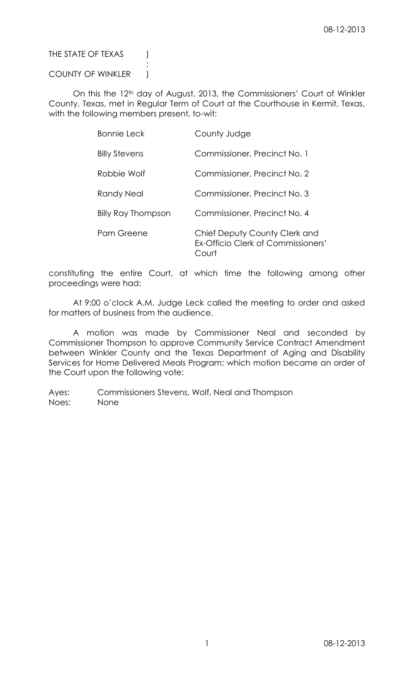THE STATE OF TEXAS (

## COUNTY OF WINKLER )

:

On this the 12<sup>th</sup> day of August, 2013, the Commissioners' Court of Winkler County, Texas, met in Regular Term of Court at the Courthouse in Kermit, Texas, with the following members present, to-wit:

| <b>Bonnie Leck</b>        | County Judge                                                                |
|---------------------------|-----------------------------------------------------------------------------|
| <b>Billy Stevens</b>      | Commissioner, Precinct No. 1                                                |
| Robbie Wolf               | Commissioner, Precinct No. 2                                                |
| Randy Neal                | Commissioner, Precinct No. 3                                                |
| <b>Billy Ray Thompson</b> | Commissioner, Precinct No. 4                                                |
| Pam Greene                | Chief Deputy County Clerk and<br>Ex-Officio Clerk of Commissioners'<br>ourt |

constituting the entire Court, at which time the following among other proceedings were had:

At 9:00 o'clock A.M. Judge Leck called the meeting to order and asked for matters of business from the audience.

A motion was made by Commissioner Neal and seconded by Commissioner Thompson to approve Community Service Contract Amendment between Winkler County and the Texas Department of Aging and Disability Services for Home Delivered Meals Program; which motion became an order of the Court upon the following vote: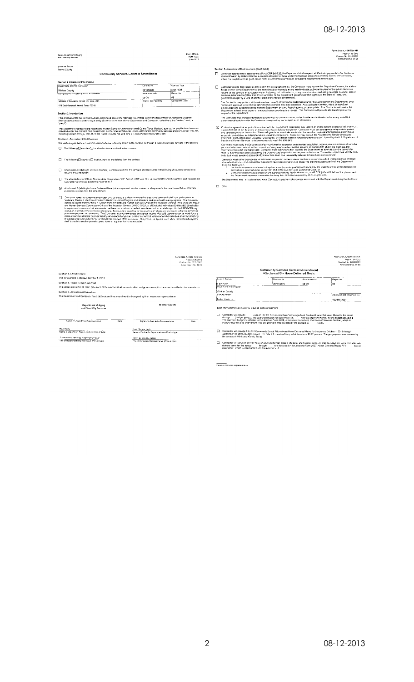Form 3254-A, HDM Title XIX<br>Fage 2 / 06-2013<br>Cantrac: No. 091012853<br>Amendment No. 05-30

### Texas Department of Aging<br>and Cisability Services

## Form 3254-A<br>HOM T XIX<br>June 7013

State of Texas<br>Travis County **Community Services Contract Amendment** 

| Legal Name of Entity (Contractor)                         | Contract No.        | Contract Type   |
|-----------------------------------------------------------|---------------------|-----------------|
| <b>Winkter County</b>                                     | 001012893           | <b>ICBA HOM</b> |
| Quing Beainess As (d/b/a) Name, if applicable             | Amendment No.       | Recion No.      |
|                                                           | 09.30               | 09              |
| ----<br>Address of Contractor (street, city, state, ZIP). | Waver Contract Area | Companent Code  |
| 419 East Campbell, Karmt, Texas 79745                     |                     |                 |

.<br>Section 2. Int

seculuri 4. Involucional<br>This anexidment to the contract number referenced above (the "contract") is entered with by the Department of Aging and Disability<br>Seculcia: (Department) and the legal entity (Contractor) named abo

r - v .<br>The Department represents the Health and Human Services Commission: (HHSC), the Texas Medical degency, for any Medicard services<br>provided onder the control The Department as the representative for HHSC, administris

- $\Box$  The following  $\Box$  counties  $\Box$  local authorises are deleted from the cor
- Attachment A (relating to covered counties) is incorporated into the contract and represents the full listing of counties served as a
- $\Box$  The attached Form 3691-A, Service Area Desgration HCS, fartime, CDS and TAS is incorporated into the contract and replaces the Contract and replaces the
- Attachment B (relating to Home Delivered Meals) is incorporated into the contract and represents the new Home Delivered Meals.<br>provisions as a result of this amondment
- $\frac{1}{2}$  Conversion agrees to screen its employees and contracts to determine where they have been excluded form participation. Applying the state of the state of the state of the state of the state of the state of the s

|                                                                                                               |      | Form 3254-A. NOM. 1die XIX<br>Page 37/06-2013<br>Contract No. 001012893<br>Americaned No. 09-20.                                              |
|---------------------------------------------------------------------------------------------------------------|------|-----------------------------------------------------------------------------------------------------------------------------------------------|
| Section 4. Effective Date                                                                                     |      |                                                                                                                                               |
| This amendment is effective October 1, 2013                                                                   |      |                                                                                                                                               |
| Section 5. Terms Remain in Effect                                                                             |      | The parties agree that all other provisions of the contract shall remain in effect and govern except to the extent modified in this amendmont |
| Section 6. Amendment Execution                                                                                |      |                                                                                                                                               |
| The Department and Contractor have each caused this amendment to be signed by their respective representative |      |                                                                                                                                               |
| <b>Department of Aging</b><br>and Disability Services                                                         |      | Winkler County                                                                                                                                |
| Signalure-Repartment Reuresentative                                                                           | Date | Signalure-Contractor Perconsentative<br>Date                                                                                                  |
| <b>Bea Bary</b><br>Name of Department Representative (Print or type)                                          |      | Hon. Bonnie Leck<br>Name of Contractor Representative (Print or Noe).                                                                         |
| Community Services Regional Director<br>Title of Department Representative (Frint or type)                    |      | Vans ei County Judge<br>"Mix of Contractor Representative (Print or type)                                                                     |

- Section 3. Amendment Modifications (continued)<br>[7] Contractor agrees that in accordance with 42 CFR 5455.23, the Department shall suspend all Modicals payments to the Contractor<br>upon opticallon by HHSC-OIS that is credible
- $\fbox{\parbox{0.9\textwidth}{ \begin{tabular}{0.9\textwidth} \begin{tabular}{| c | c | c |} \hline \end{tabular} \hline \end{tabular} } \hbox{\parbox{0.9\textwidth} \begin{tabular}{| c | c | c |} \hline \end{tabular} \hline \end{tabular} } \hbox{\parbox{0.9\textwidth} \begin{tabular}{| c | c | c | c |} \hline \end{tabular} \hline \end{tabular} } \hbox{\parbox{0.9\textwidth} \begin{tabular}{| c | c | c | c | c |} \hline \end{tabular} \hline \end{tabular} } \hbox{\parbox{0.9\textwidth}$ The Contractor may include information concorning this contract's terms, subject matter and estimated value in any report to a<br>governmental body to which the Contractor is required by law to report such information

Contractor agrees that as part of as contract with the Deputnient, Contractor may recoive or create sensitive personal information, as<br>asolary SCI (2014) the Musicinal and Commerce Lose astros into phase Commerce means as  $\overline{\boxtimes}$ Preshwan manimum and the Channel Channel Channel Channel Channel Channel Channel Channel Channel Channel Channel Channel Channel Channel Channel Channel Channel Channel Channel Channel Channel Channel Channel Channel Chan

 $\Box$  oner

|                                                             |                                                                                                                                                                                                                                                                                                                                                                                                                                       |               | Form 3254-A. HOM Title XIX<br>Page 4 / 06-2013<br>Contract No. 001012893<br>Amendment No. 09-30 |
|-------------------------------------------------------------|---------------------------------------------------------------------------------------------------------------------------------------------------------------------------------------------------------------------------------------------------------------------------------------------------------------------------------------------------------------------------------------------------------------------------------------|---------------|-------------------------------------------------------------------------------------------------|
|                                                             | <b>Community Services Contract Amendment</b><br>Attachment B - Home Delivered Meals                                                                                                                                                                                                                                                                                                                                                   |               |                                                                                                 |
| Type of Contract                                            | Contract No.                                                                                                                                                                                                                                                                                                                                                                                                                          | Amendment No. | Region No                                                                                       |
| <b>ICBA HDM</b>                                             | 001012893                                                                                                                                                                                                                                                                                                                                                                                                                             | C9-30         | 09                                                                                              |
| Wirkler County<br>Contact Person<br>Franco Hawkins          |                                                                                                                                                                                                                                                                                                                                                                                                                                       |               | (Area Code and Telephone Nin<br>432/586-3631                                                    |
| Each marked provision below is included in this attachment. |                                                                                                                                                                                                                                                                                                                                                                                                                                       |               |                                                                                                 |
| ш<br>Contractor will provide<br>through.                    | units of Title XX Community Care for the Aged and Disabled/Home Delivered Meals for the period.<br>(bixdget period). The approved budget for each meal is \$ and the approved hildget for the budget period is \$<br>The approved budget is reflected in the attached Form 2029, Information Worksheet, Purchase of Services Contract, which is<br>incorporated into this amendment. The geographical area covered by the contract is | . Texas.      |                                                                                                 |
| а<br>the contract is Wink and Kermit. Texas                 | Contractor will provide Title XIX Cummunity Based Altomatives/Home Dalivered Meals for the period Oclober 1, 2013 through<br>September 30, 2013 (budget period). The Fitle X:X meals will be paid at the rate of \$6.12 per unit. The geographical area covered by                                                                                                                                                                    |               |                                                                                                 |

□ Confractor will serve or defiver mass in alteriate formal (frozen, chilled or shelf strating on fewer than five days per week. The alternate difference of through the alternate of through the strategie of the alternate

-<br>Theials-Contractor Representative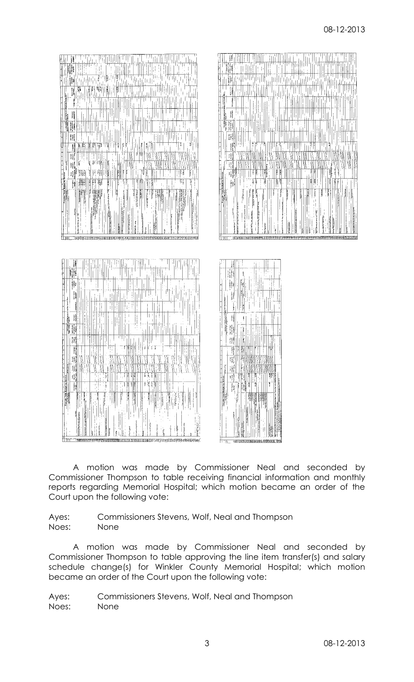

A motion was made by Commissioner Neal and seconded by Commissioner Thompson to table receiving financial information and monthly reports regarding Memorial Hospital; which motion became an order of the Court upon the following vote:

Ayes: Commissioners Stevens, Wolf, Neal and Thompson Noes: None

A motion was made by Commissioner Neal and seconded by Commissioner Thompson to table approving the line item transfer(s) and salary schedule change(s) for Winkler County Memorial Hospital; which motion became an order of the Court upon the following vote: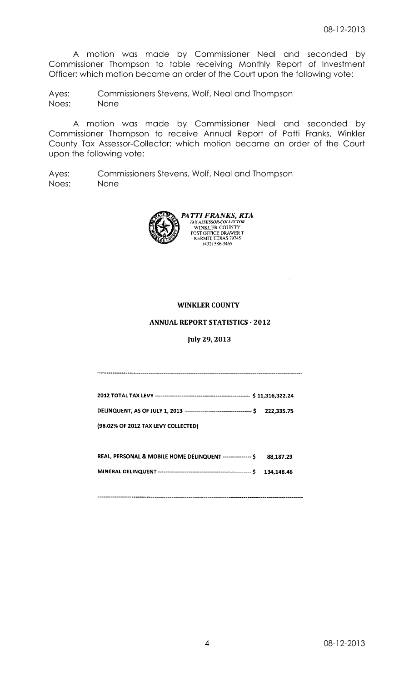A motion was made by Commissioner Neal and seconded by Commissioner Thompson to table receiving Monthly Report of Investment Officer; which motion became an order of the Court upon the following vote:

Ayes: Commissioners Stevens, Wolf, Neal and Thompson Noes: None

A motion was made by Commissioner Neal and seconded by Commissioner Thompson to receive Annual Report of Patti Franks, Winkler County Tax Assessor-Collector; which motion became an order of the Court upon the following vote:

Ayes: Commissioners Stevens, Wolf, Neal and Thompson Noes: None



## **WINKLER COUNTY**

### **ANNUAL REPORT STATISTICS - 2012**

July 29, 2013

| (98.02% OF 2012 TAX LEVY COLLECTED)                        |           |
|------------------------------------------------------------|-----------|
| REAL, PERSONAL & MOBILE HOME DELINQUENT --------------- \$ | 88,187,29 |
|                                                            |           |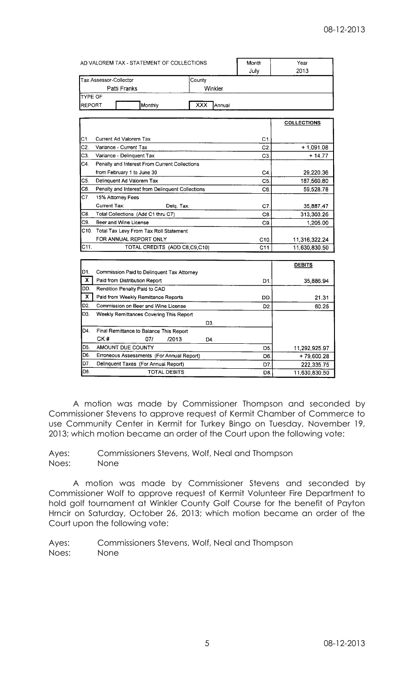|                | AD VALOREM TAX - STATEMENT OF COLLECTIONS                   |               | Month          | Year               |
|----------------|-------------------------------------------------------------|---------------|----------------|--------------------|
|                |                                                             | July          | 2013           |                    |
|                | Tax Assessor-Collector                                      | County        |                |                    |
|                | Patti Franks                                                | Winkler       |                |                    |
| TYPE OF        |                                                             |               |                |                    |
| REPORT         |                                                             | XXX<br>Annual |                |                    |
|                | Monthly                                                     |               |                |                    |
|                |                                                             |               |                | <b>COLLECTIONS</b> |
|                |                                                             |               |                |                    |
| C1.            | Current Ad Valorem Tax                                      |               | C1.            |                    |
| C2.            | Variance - Current Tax                                      |               | C2.            | $+1,091.08$        |
| C3.            | Variance - Delinquent Tax                                   |               | C <sub>3</sub> | $+14.77$           |
| C4.            | Penalty and Interest From Current Collections               |               |                |                    |
|                | from February 1 to June 30                                  |               | C4.            | 29,220.36          |
| C5.            | Delinquent Ad Valorem Tax                                   |               | C5.            | 187,560.80         |
| C6.            | Penalty and Interest from Delinquent Collections            |               | C6.            | 59,528.78          |
| C7.            | 15% Attorney Fees                                           |               |                |                    |
|                | Current Tax:<br>Delg. Tax:                                  |               | C7.            | 35,887.47          |
| C8.            | Total Collections (Add C1 thru C7)                          |               | C <sub>8</sub> | 313,303.26         |
| C9.            | Beer and Wine License                                       |               | C9.            | 1,205.00           |
|                | C10. Total Tax Levy From Tax Roll Statement                 |               |                |                    |
|                | FOR ANNUAL REPORT ONLY                                      |               | C10.           | 11,316,322.24      |
| C11.           | TOTAL CREDITS (ADD C8,C9,C10)                               |               | C11            | 11,630,830.50      |
|                |                                                             |               |                |                    |
|                |                                                             |               |                | <b>DEBITS</b>      |
| D1.            | Commission Paid to Delinguent Tax Attorney                  |               |                |                    |
| x.             | Paid from Distribution Report                               |               | D1.            | 35,886.94          |
| DD.            | Rendition Penalty Paid to CAD                               |               |                |                    |
|                | X<br>Paid from Weekly Remittance Reports                    |               | DD.            | 21.31              |
| D <sub>2</sub> | Commission on Beer and Wine License                         |               | D <sub>2</sub> | 60.25              |
| D3.            | Weekly Remittances Covering This Report                     |               |                |                    |
|                |                                                             | D3.           |                |                    |
| D4.            | Final Remittance to Balance This Report                     |               |                |                    |
|                | CK#<br>07/<br>/2013                                         | D4.           |                |                    |
| D5.<br>D6.     | <b>AMOUNT DUE COUNTY</b>                                    |               | D5.            | 11,292,925.97      |
| D7.            | Erroneous Assessments (For Annual Report)                   |               | D6.            | + 79,600.28        |
| D8.            | Delinquent Taxes (For Annual Report)<br><b>TOTAL DEBITS</b> |               | D7.            | 222,335.75         |
|                |                                                             |               | D8.            | 11,630,830.50      |

A motion was made by Commissioner Thompson and seconded by Commissioner Stevens to approve request of Kermit Chamber of Commerce to use Community Center in Kermit for Turkey Bingo on Tuesday, November 19, 2013; which motion became an order of the Court upon the following vote:

Ayes: Commissioners Stevens, Wolf, Neal and Thompson Noes: None

A motion was made by Commissioner Stevens and seconded by Commissioner Wolf to approve request of Kermit Volunteer Fire Department to hold golf tournament at Winkler County Golf Course for the benefit of Payton Hrncir on Saturday, October 26, 2013; which motion became an order of the Court upon the following vote: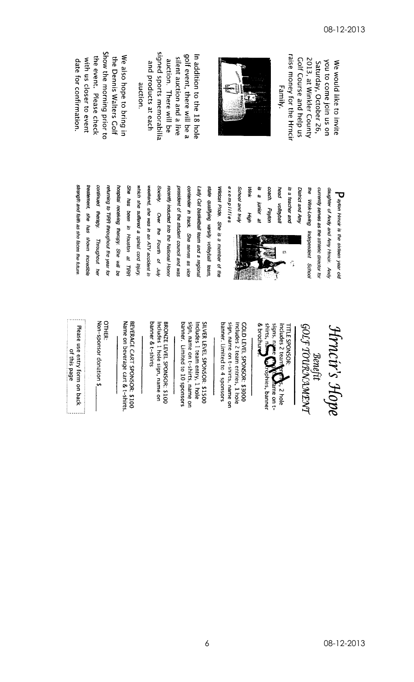raise money for the Hrnci 2013, at Winkler County Colf Course and help us you to come join us on Saturday, October 26, We would like to invite Family.



signed sports memorabilia golf event, there will be a silent auction and a live In addition to the 18 hole and products at each auction. There will be auction.

Show the morning prior to the event. Please check the Dennis Walters Golf We also hope to bring in with us closer to event date for confirmation.

> head is a teacher and District and Amy the Wink-Loving Independent School currently serves as the athletic director for daughter of Andy and Amy Hincir. Andy Payton Hrncir is the sixteen year old wolleyball 63  $\hat{\tau}$



is<br>a

junior at Payton

coach.

**Nink** 

цбу

exemplities School and Iruh

returning to TIRR throughout the year for hospital receiving therapy. She will be She has been in Houston at TIRR which she suffered a spinal cord injury president of the student council and was contender in track. She serves as vice continued therapy. recently inducted into the National Honor Lady Cat basketball team and a regional treatement, she has shown incredible weekend, she was in an ATV accident in Society. state qualifying varsity volleyball team, Wildcat Pride. She is a member of the Over the Fourth of July Throughout her

Hrncir's Hope

GOLF TOURNAMENT Benefit

signs, name & brochun Includes 2 team **TITLE SPONSOR:** róphies, banner s, 2 hole ame on t-

sign, name on t-shirts, name on Includes 2 team entries, 1 hole banner. Limited to 4 sponsors COLD LEVEL SPONSOR: \$3000

banner. Limited to 10 sponsors sign, name on t-shirts, name on Includes 1 team entry, 1 hole SILVER LEVEL SPONSOR: \$1500

banner & t-shirts Includes 1 hole sign, name on BRONZE LEVEL SPONSOR: \$100

Name on beverage cart & t-shirts BEVERACE CART SPONSOR: \$100

**OTHER:** 

Non-sponsor donation \$

Please use entry form on back of this page

strength and faith as she faces the future.

08-12-2013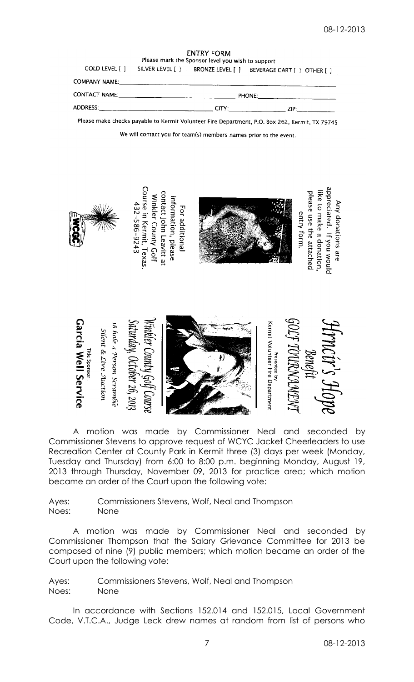**ENTRY FORM** Please mark the Sponsor level you wish to support

|                      | GOLD LEVEL [ ] SILVER LEVEL [ ] BRUNZE LEVEL [ ] BEVERAGE CART [ ] [ OTHER [ ] |       |               |  |
|----------------------|--------------------------------------------------------------------------------|-------|---------------|--|
| <b>COMPANY NAME:</b> |                                                                                |       |               |  |
|                      |                                                                                |       | <b>PHONE:</b> |  |
| ADDRESS:             |                                                                                | CITY: | ZIP.          |  |

 $\overline{C}$  $\overline{O}$  $\overline{D}$   $\overline{I}$   $\overline{C}$  $\overline{C}$  $\overline{C}$  $\overline{C}$  $\overline{C}$  $\overline{C}$  $\overline{C}$ 

Please make checks payable to Kermit Volunteer Fire Department, P.O. Box 262, Kermit, TX 79745

We will contact you for team(s) members names prior to the event.





A motion was made by Commissioner Neal and seconded by Commissioner Stevens to approve request of WCYC Jacket Cheerleaders to use Recreation Center at County Park in Kermit three (3) days per week (Monday, Tuesday and Thursday) from 6:00 to 8:00 p.m. beginning Monday, August 19, 2013 through Thursday, November 09, 2013 for practice area; which motion became an order of the Court upon the following vote:

Ayes: Commissioners Stevens, Wolf, Neal and Thompson Noes: None

A motion was made by Commissioner Neal and seconded by Commissioner Thompson that the Salary Grievance Committee for 2013 be composed of nine (9) public members; which motion became an order of the Court upon the following vote:

Ayes: Commissioners Stevens, Wolf, Neal and Thompson Noes: None

In accordance with Sections 152.014 and 152.015, Local Government Code, V.T.C.A., Judge Leck drew names at random from list of persons who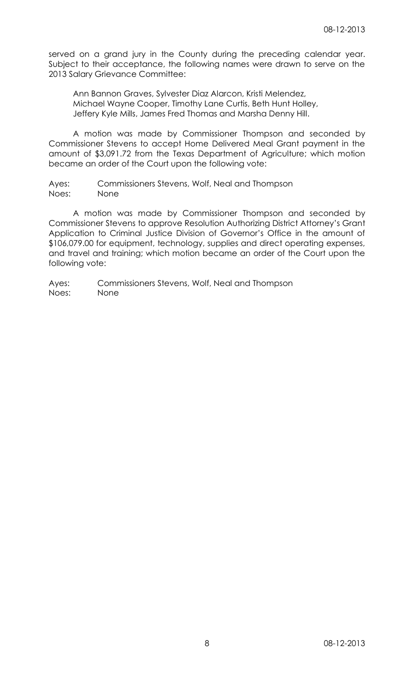served on a grand jury in the County during the preceding calendar year. Subject to their acceptance, the following names were drawn to serve on the 2013 Salary Grievance Committee:

Ann Bannon Graves, Sylvester Diaz Alarcon, Kristi Melendez, Michael Wayne Cooper, Timothy Lane Curtis, Beth Hunt Holley, Jeffery Kyle Mills, James Fred Thomas and Marsha Denny Hill.

A motion was made by Commissioner Thompson and seconded by Commissioner Stevens to accept Home Delivered Meal Grant payment in the amount of \$3,091.72 from the Texas Department of Agriculture; which motion became an order of the Court upon the following vote:

Ayes: Commissioners Stevens, Wolf, Neal and Thompson Noes: None

A motion was made by Commissioner Thompson and seconded by Commissioner Stevens to approve Resolution Authorizing District Attorney's Grant Application to Criminal Justice Division of Governor's Office in the amount of \$106,079.00 for equipment, technology, supplies and direct operating expenses, and travel and training; which motion became an order of the Court upon the following vote: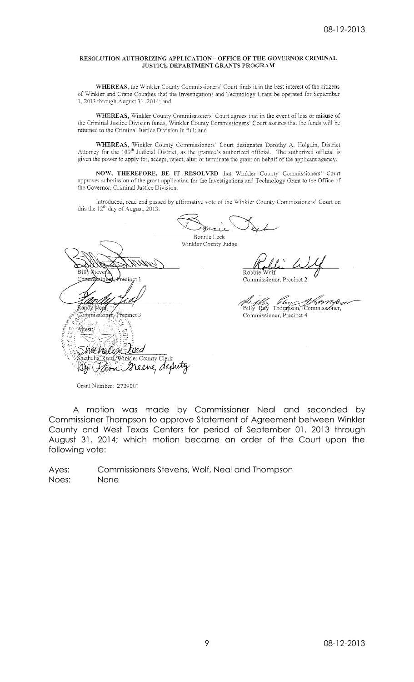### RESOLUTION AUTHORIZING APPLICATION - OFFICE OF THE GOVERNOR CRIMINAL **JUSTICE DEPARTMENT GRANTS PROGRAM**

WHEREAS, the Winkler County Commissioners' Court finds it in the best interest of the citizens of Winkler and Crane Counties that the Investigations and Technology Grant be operated for September 1, 2013 through August 31, 2014; and

WHEREAS, Winkler County Commissioners' Court agrees that in the event of loss or misuse of the Criminal Justice Division funds, Winkler County Commissioners' Court assures that the funds will be returned to the Criminal Justice Division in full; and

WHEREAS, Winkler County Commissioners' Court designates Dorothy A. Holguin, District Attorney for the 109<sup>th</sup> Judicial District, as the grantee's authorized official. The authorized official is given the power to apply for, accept, reject, alter or terminate the grant on behalf of the applicant agency.

NOW, THEREFORE, BE IT RESOLVED that Winkler County Commissioners' Court approves submission of the grant application for the Investigations and Technology Grant to the Office of the Governor, Criminal Justice Division.

Introduced, read and passed by affirmative vote of the Winkler County Commissioners' Court on this the  $12^{th}$  day of August, 2013.

|                                                      | Bonnie Leck                                                   |
|------------------------------------------------------|---------------------------------------------------------------|
|                                                      | Winkler County Judge                                          |
| Billy Stevens<br>recinct 1<br>. amm i<br><b>RION</b> | Robbie Wolf<br>Commissioner, Precinct 2                       |
| Randy Nea<br>hmissiónar, Precinct 3                  | Billy Bay Thompson, Commissioner,<br>Commissioner, Precinct 4 |
| Attest:<br>Shethelia Reed Winkler County Clerk       |                                                               |
|                                                      |                                                               |

Grant Number: 2729001

A motion was made by Commissioner Neal and seconded by Commissioner Thompson to approve Statement of Agreement between Winkler County and West Texas Centers for period of September 01, 2013 through August 31, 2014; which motion became an order of the Court upon the following vote: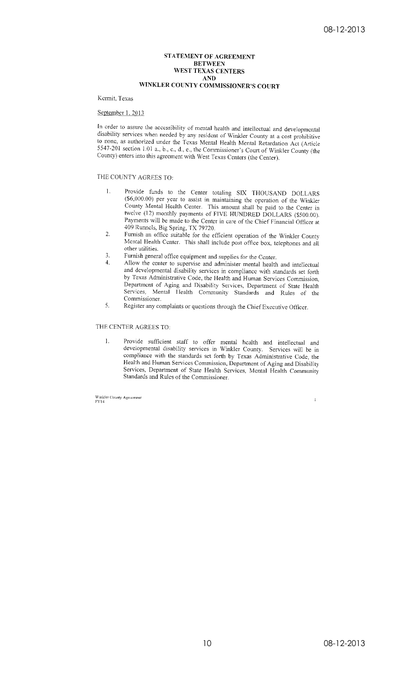### STATEMENT OF AGREEMENT **BETWEEN** WEST TEXAS CENTERS **AND** WINKLER COUNTY COMMISSIONER'S COURT

### Kermit, Texas

#### September 1, 2013

In order to assure the accessibility of mental health and intellectual and developmental disability services when needed by any resident of Winkler County at a cost prohibitive to none, as authorized under the Texas Mental Health Mental Retardation Act (Article 5547-201 section 1.01 a., b., c., d., e., the Commissioner's Court of Winkler County (the County) enters into this agreement with West Texas Centers (the Center).

### THE COUNTY AGREES TO:

- $\overline{1}$ . Provide funds to the Center totaling SIX THOUSAND DOLLARS (\$6,000.00) per year to assist in maintaining the operation of the Winkler County Mental Health Center. This amount shall be paid to the Center in twelve (12) monthly payments of FIVE HUNDRED DOLLARS (\$500.00). Payments will be made to the Center in care of the Chief Financial Officer at 409 Runnels, Big Spring, TX 79720.
- Furnish an office suitable for the efficient operation of the Winkler County  $\overline{2}$ . Mental Health Center. This shall include post office box, telephones and all other utilities.
- Furnish general office equipment and supplies for the Center.  $\overline{3}$ .
- $\overline{4}$ Allow the center to supervise and administer mental health and intellectual and developmental disability services in compliance with standards set forth by Texas Administrative Code, the Health and Human Services Commission, Department of Aging and Disability Services, Department of State Health Services, Mental Health Community Standards and Rules of the Commissioner.
- 5. Register any complaints or questions through the Chief Executive Officer.

#### THE CENTER AGREES TO:

Provide sufficient staff to offer mental health and intellectual and<br>developmental disability services in Winkler County. Services will be in  $\mathbf{1}$ . compliance with the standards set forth by Texas Administrative Code, the Health and Human Services Commission, Department of Aging and Disability Services, Department of State Health Services, Mental Health Community Standards and Rules of the Commissioner.

Winkler County Agreement<br>FY14

 $\mathbf{1}$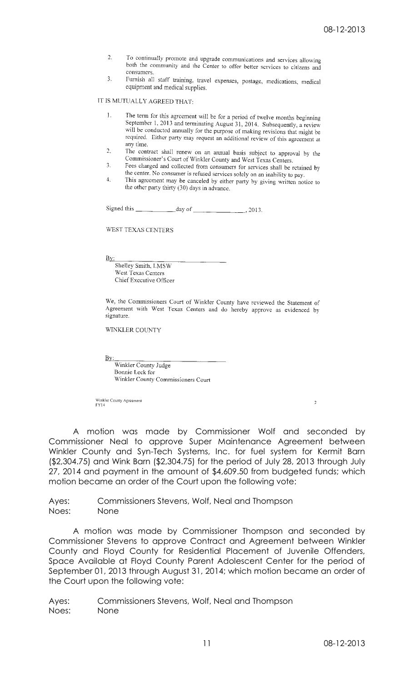- $2.$ To continually promote and upgrade communications and services allowing both the community and the Center to offer better services to citizens and consumers.
- $\mathbf{R}^{\dagger}$ Furnish all staff training, travel expenses, postage, medications, medical equipment and medical supplies.

IT IS MUTUALLY AGREED THAT:

- $\mathbf{1}$ The term for this agreement will be for a period of twelve months beginning September 1, 2013 and terminating August 31, 2014. Subsequently, a review<br>September 1, 2013 and terminating August 31, 2014. Subsequently, a review will be conducted annually for the purpose of making revisions that might be will be conducted annually for the purpose of making revisions that might be required. Either party may request an additional review of this agreement at any time.
- $2.1$ The contract shall renew on an annual basis subject to approval by the Commissioner's Court of Winkler County and West Texas Centers.
- $\mathcal{E}$ Fees charged and collected from consumers for services shall be retained by the center. No consumer is refused services solely on an inability to pay.
- This agreement may be canceled by either party by giving written notice to  $4.$ the other party thirty (30) days in advance.

Signed this  $\frac{1}{\sqrt{2}}$  day of  $\frac{1}{\sqrt{2}}$  $.2013.$ 

WEST TEXAS CENTERS

<u>Bv:</u>

Shelley Smith, LMSW West Texas Centers Chief Executive Officer

We, the Commissioners Court of Winkler County have reviewed the Statement of Agreement with West Texas Centers and do hereby approve as evidenced by signature.

WINKLER COUNTY

<u>Ву:</u>

Winkler County Judge Bonnie Leck for Winkler County Commissioners Court

Winkler County Agreement<br>FY14

A motion was made by Commissioner Wolf and seconded by Commissioner Neal to approve Super Maintenance Agreement between Winkler County and Syn-Tech Systems, Inc. for fuel system for Kermit Barn (\$2,304.75) and Wink Barn (\$2,304.75) for the period of July 28, 2013 through July 27, 2014 and payment in the amount of \$4,609.50 from budgeted funds; which motion became an order of the Court upon the following vote:

Ayes: Commissioners Stevens, Wolf, Neal and Thompson Noes: None

A motion was made by Commissioner Thompson and seconded by Commissioner Stevens to approve Contract and Agreement between Winkler County and Floyd County for Residential Placement of Juvenile Offenders, Space Available at Floyd County Parent Adolescent Center for the period of September 01, 2013 through August 31, 2014; which motion became an order of the Court upon the following vote:

Ayes: Commissioners Stevens, Wolf, Neal and Thompson Noes: None

 $\overline{c}$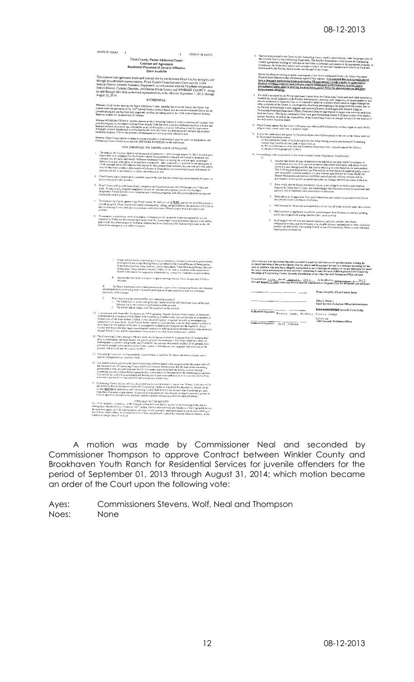

A motion was made by Commissioner Neal and seconded by Commissioner Thompson to approve Contract between Winkler County and Brookhaven Youth Ranch for Residential Services for juvenile offenders for the period of September 01, 2013 through August 31, 2014; which motion became an order of the Court upon the following vote: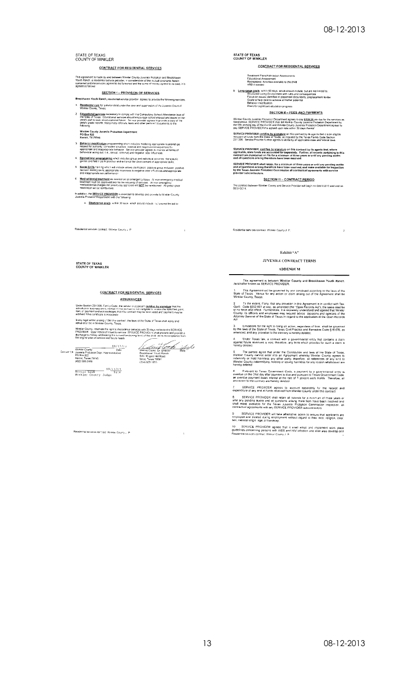## STATE OF TEXAS<br>COUNTY OF WINKLER

## CONTRACT FOR RESIDENTIAL SERVICES

This agreement is made by and between Winder County Juvenile Probation and Brookhawen<br>Youth Rench, a residential service provider, miconsideration of the mutual coverants herein<br>contaned and the services agreed to be furne

#### **SECTION I - PROVISION OF SERVICES**

- Brookhaven Youth Ranch, residential scrvice provider agrees to provide the following services 1. Residential care for a minor child under the care and supervision of the Juvenile Court of
- 2 Educational services necessary to comply with the Compulsory School Attendance laws the State of Texas. Educational services in the change on the change of the change of the change of the change of the change of the chan

Winkler County Juvenile Probetion Department<br>PO Box 822<br>Kermit, TX 79745

- <mark>Behavior modification</mark> programming when includes modeling appropriate relationships<br>respect to authority, consistent structure, cosiniva and negative consequences for<br>appropriate and inappropriate behavior. Service provid
- 4. Recreational programming which includes group and individual activities, therapeutic<br>games and field trips to practice and enhance the dave coment of appropriate skills.
- 5 <u>Social Skills</u> vaining which will include values claintcation, positive group inclusion, prisilve<br>decision making skuls, appropriate responses to negative peer influences and appropriate<br>and inappropriate sexual benav
- 6 Medical/dental treatment as needed on an emergency basis. All non-emergency medical<br>treatment must be approved once to the securing of services. All non-emergency<br>medical/dental charges no: previously approved will NOT b
- In addition, the SERVICE PROVIDER is expected to develop and provide to Winkler County<br>Juvenile Probabon Department with the following:
	- a. Short-range goals within 30 days which should include loct are not limited to:

STATE OF TEXAS<br>COUNTY OF WINKLER

CONTRACT FOR RESIDENTAL SERVICES

Treatment Plans/Admission Assessments<br>Educational Assessment<br>Recreational Activities available to the child<br>ARD if noeded

b Long-cange goals, within 60 days, which should include, but are not limited to:<br>Shructured Lamp Environment with rules and consequences<br>Focus on issues dentified in placement documents, preplacement review<br>Goals to help

**SECTION II - FEES AND PAYMENTS** 

# Winkler County Juvenike Processor Department agrees to pay \$138,25 per day for the services as<br>listed above: SERVICE PROVIDER shall bill Winkler County Juvenile Probation Department by<br>the fifth working day of the mostly a

SERVICE PROVIDER certifies by signature on this contract by its agents that it is an eligible<br>recipient of funds from the State of Texas, as required by the Texas Family Code Section<br>231 006. Service Provider further agree

SERVICE PROVIDER, cartifies by signature on this contract by its agents that, where<br>applicable, state funds are accounted for separately. Further, all records pertaining to this<br>contract are maintained on file for a minimu

SERVICE PROVIDER shall retain, for a minimum of three years or until any pending audits<br>and all questions arising therefrom have been resolved, and make available for inspection<br>by the Texas Juvenile Probation Commission a

**<u>SECTION III - CONTRACT PERIOD</u>** 

The contract between Winkler County and Service Provider will begin nn 09/01/2013 and end on<br>08/31/2014,

Residential services contract Winkler County J. P.

## Exhibit " $\Lambda$ "

JUVENILE CONTRACT TERMS

**ADDENDUM** 

This agreement is between Winkler County and Brookhaven Youth Ranch.<br>hereinafter known as SERVICE PROVIDER.

1. This Agreement will be governed by and construed according to the laws of the<br>State of Toxas. Venue for any action or claim arising out of the Agreement shall be<br>Winkler County, Texas.

To the extent, if any, that any provision in this Agreement is in conflict with Tex-<br>Gov1: Code §552.001 et seq., as amended (the "Open Records Act"), the same shall be<br>of no torce and effect. Furthermore, it is expressly

3. Limitations for the right to bring an action, regardless of form, shall be governed<br>by the laws of the State of Texas, Texas Civil Practice and Remedies Code §16.070, as<br>amencied, and any provision to the contrary is he

4. Under Texas (aw, a contract with a governmental entity that contains a claim<br>against future revenues is void; therefore, any term which provides for such a claim is

5 The parties agree that under the Constaution and laws of the State of Texas,<br>Winkler County cannot enter into an Agroement whereby Winkler County agrees to<br>indemoty or hold harmless any other pany, therefore, all referen

6. Pursuant to Texas Government Code, a payment by a governmental entity response and the Stati day after payment is due and pursuant To Texas Government Code.<br>an overdue on the Stati day after payment is due and pursuant

.<br>xpenditure of any and all funds received from Winkler County under this contract.<br>xpenditure of any and all funds received from Winkler County under this contract.

SERVICE PROVIDER shall retain all records for a minimum of three years or<br>til any pending audits and all questions arising there from have been resolved and<br>rail make available for the Texas, Juvenile Probalon Commission i

9 SERVICE PROVIDER will take affirmative action to ensure that applicants are<br>employed and treated during employment without regard to their race, religion, color,<br>sex, national origin age, or handicap,

10 SERVICE PROVIDER agrees that it shall adopt and implement work place<br>guidelines concerning persons with AIDS and HIV infection and shall also develop and<br>Residential salwices contract Winker Cormul L.P

**STATE OF TEXAS<br>COUNTY OF WINKLER** 

Residential services contract Winkler County J. P.

#### **CONTRACT FOR RESIDENTAL SERVICES ASSURANCES**

Under Section 231 005, Family Code, the vendor or applicant <u>certifies by signature</u> that the<br>individual to business encky named in this contract is not ineligible to receive the specified grant.<br>loan, or payment and actin

In any legal action arising under this contract, the laws of the State of Texas shall apply and<br>venue shall be in Winkler County, Texas.

Winker County, reserves the right to discontinue services with 30 days notice to the SERVI<br>PROVIDER Upon notice of Intent to remove ISPRVICE PROVIDLIK shall preceive and provide<br>discharge summary addressing the current fun



 $\bar{\rm{t}}$ 

Bonnie Leck 08/12/13<br>Winkler Councy Judge

Residential services contract. Winkler County J. P.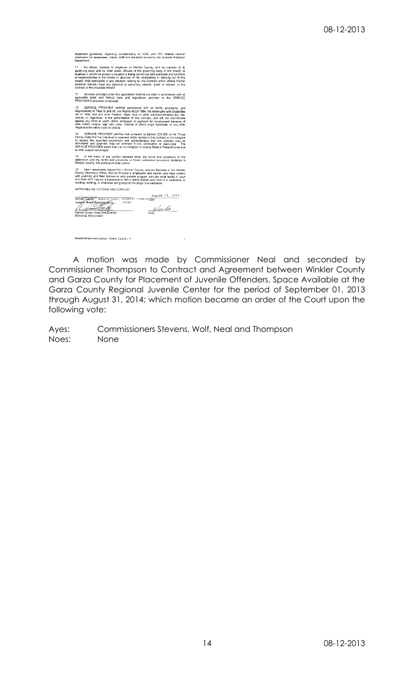implement guidelines regarding confidentiality of AIDS and HIV related medical<br>information for employees, clents, staff and residents served by the Juvenile Probation<br>Department

No officer, member or employee of Winkler County, and no member of its<br>ining body and no other public officials of the governing body of the locality or<br>es in which the project is situated or being carried out who exercise

Services provided under this agreement shall be provided in accordance with all<br>ble state and federal laws and regulations pertment to the SERVICE<br>IDER'S provision of services.

SERVICE PROVIDER certifies compliance with all terms, provisionents of Tries VI and VII, civil Rights Act of 1964, the Amencians with Divident Certifies (see local certifies and any other Faderal, State, local certifies an

SERVICE PROVIDER certifies that pursuant to Section 231.006 of the Texas<br>Code that the individual or business entity named in this contract is not ineligible<br>seve the specified payment(s) and acknowledges that this contrac

In the event of any conflict between either the terms and provisions of this<br>dum and the terms and provisions of those contractual provisions tendered to<br>ir County, this andendum shall control

16 Upon reasonable request from Winker County Juvenic Sorvices of the Winkler<br>County Attorney's Office, Service Provider's employees and agents who have contact<br>with juveniles and their families or who provide program serv APPROVED AS TO FORM AND CONTENT:

**EXECUTE SOFTWARD CONTENT:**<br>
Ref County Bonnie Leck, Ninklar County Date<br>
Social Representative Judge<br>
Contract Executive Director<br>
MODE PROVIDER<br>
WOR PROVIDER<br>
WOR PROVIDER<br>
WOR PROVIDER

Residential services contract Winkler County J. P.

A motion was made by Commissioner Neal and seconded by Commissioner Thompson to Contract and Agreement between Winkler County and Garza County for Placement of Juvenile Offenders, Space Available at the Garza County Regional Juvenile Center for the period of September 01, 2013 through August 31, 2014; which motion became an order of the Court upon the following vote:

Ayes: Commissioners Stevens, Wolf, Neal and Thompson Noes: None

 $\mathcal{A}$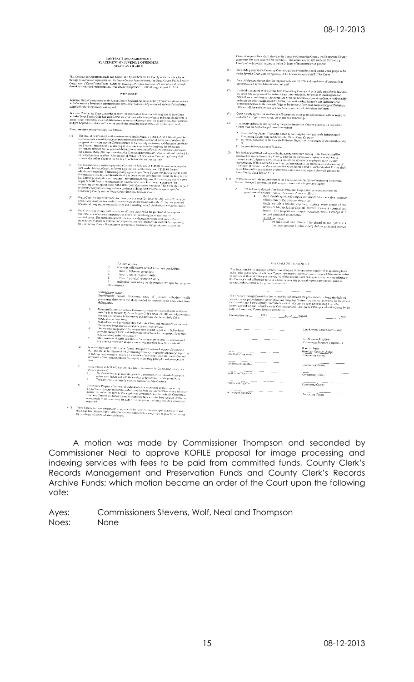## CONTRACT AND AGREEMENT<br>PLACEMENT OF JUVENILE OFFENDERS<br>SPACE AVAILABLE

This Contract and Agreement made and eizered into by and between the County of Governeuting by and<br>theorgh is surfarrized representsives, the Gazer County Javenile Board, the Garza Greatty Public Faculty<br>Corporation ("Garz

WITNESSETH

Wincreas, Gaiza County operates the Gaizza County Regional Juvenile Center ("Center") under a Contract<br>with Comerations Programs Corporation and onth Center has been duly inspected and certified as being<br>suitable the the d

Whereas. Contracting County, in order to carry cut and conduct their juvenile programs in accordance<br>with the Texas Easily Code has need for the use of detertion facilitates in house and municial citation of<br>juvenile age, Now, therefore, the parties agree as follows:

- Therefore, the parties agere as roundly increased and proposed of the state and all the base of the Control of the SQ and the state and performance of the Contrast, if enther party herein it is pulperent decreased and per  $\overline{m}$
- Former the matter parameter parameter (and the form of the form and the form of the context of the matter of the state of the state of the matter of the matter of the matter of the matter of the state of the state of the  $\overline{Q}$
- Ciarza County will provide: roam and board, twenty-four (24) hours per day, seven (?) days p<br>week, signevisum, roome modical grammation and treatener, within the facility, an approved<br>educational program, recreation facili  $\mathbb{C}^n$

The Contracting County shall provide (or all costs incurred by the practice of presents on<br>medications medical care (neutrepacky or elebracies), payerbological existings, or incomplements<br>biographical care (neutralities) o  $(4)$ 

for each resident,<br>teachers will receive accordited school corriculum<br>Thour of behavior group dail),<br>Thour of his skills group daily,<br>Thour of physical receives received adily,<br>individual counseling as determined by specif

Quicome measures<br>Significantly reduce recitivism rates of juventle offenders while<br>presenting them with the skills needed to maintain their absturence from<br>delinquency

delinquency<br>
Not Counterfactor Programs Corporation is not maligible to receive<br>
Does certify that Counterfactor is the main projection in the substitute<br>
of the final contract may be remained and payment will be withheld<br>

In accomance with SFAC (13x24 Course through the constant ince Programs Course in the constant of the Course of the Course of the Course of the Course of the Course of the Course of the Course of the Course of the Course

Comeration: Imaginates Corporation understands for the Cauchine<br>Comeration: Imaginates Corporation understands for the Cauchine of Office, or any succession<br>expanse of the endomy of the Note Auditor's Office, or any succes

(12) Gatzw County will privide smitble transported on for justified testilents upon admission to and<br>discussige from Gatza County All other resident transportation needs they be provided on a vista<br>by lose basis subject to

ance with SFAC, this contract may be terminated by Contracting County for<br>discuss if onplance if<br>Tree Center folls to active eith geals and outcomes of the individual case pion.<br>Index such failure is the to the conduct or performance of the juvenile, or<br>The Center Mils to congily with the conductors of the

 $\mathfrak{c}$  $\bar{d}$  $\epsilon$ 

 $_{\rm B}$ 

Center is required for a child phased in the Center by Contracting County, the Contracting County<br>guarantees that such costs will be pain in full. The administrator shall notify the Contracting<br>County of such medical studi (5) Each child placed in the Center by Containing County shall be placed therein under proper order<br>of the Juvenile Court with the approval of the Annunistrator and staff of the Center

- (6) Fach child placed therein shall be required to follow the rules and regulations of conduct fixed and determined by the Administrator and  $y_A f_1^*$
- If a child is secreted by the Center from Connecting Courty and such child test<br>extern is found to the sole palgoent of the Administration, one-taily unfit, the<br>operass of uncatengoishe or being dependent of the Administr  $(7)$
- $(8)$  Garza County agrees that the Center will accept any cludd qualified hereonder, without regard to such child's religion, race, creed, color, sex or rational origin.
- (93) first further understood and agreed by the parties beteto that children placed in the care of the<br>Center shall not be discharged therefore without
	- $N$  Recopt of the Center of an Order signed by the Judgets) baying juven le jurisdiction of<br>Contracting County duly certified by the Clerk of said Court, of<br> $B$  Its beauthorization of the Javende Prototion Department or  $\mathbb{C}$  . As provided in paragraph (7) above,
- The finder and extended and signed by the partons hereon that in the Contract Hall be<br>constructed to permit Contracting Coursy, their agents, servants or employees in any way to<br>respect to the contracting Coursy, their ag
- (11) fractiondones with the requirements of the Texas Jovenile Probation Commission o occaving<br>Service Provider Contracts, the following provisions and sub-provisions apply:
	- Similar Continuis, the following provincies and sub-provincins apply.<br>
	A Gran Courty through the context represents conjectuation in a measurement in consistent of the Shale Francisco Assessment Conjunction (SEAC):<br>  $\frac{3$

|  | OFFICIALS NOT TO BENEFIT |  |
|--|--------------------------|--|
|  |                          |  |

No officer, membro on employer of the Crimanal Jurisce Division and no member of its governing body<br>and to office public officials of Gaze Concess who exercise any functions or emposabilities in the review of a<br>property a This Chitaki had Agreement this date is made by and between the parties hereto; it being the declared<br>a tender of the paints hereto that the obvious and foregoing Contract, it a contract providing for the case of<br>eligible

Fixed use this che  $\frac{1}{2}$  =  $\frac{12 \text{th}}{2}$  =  $\frac{12 \text{th}}{2}$  =  $\frac{1}{2}$  =  $\frac{1}{2}$  =  $\frac{1}{2}$  =  $\frac{1}{2}$  =  $\frac{1}{2}$  =  $\frac{1}{2}$  =  $\frac{1}{2}$  =  $\frac{1}{2}$  =  $\frac{1}{2}$  =  $\frac{1}{2}$  =  $\frac{1}{2}$  =  $\frac{1}{2}$  =  $\frac{1}{2}$ 

|                      | Lee Norman, Garza County Indige.                          |
|----------------------|-----------------------------------------------------------|
|                      | Joe Newman, President<br>Contensione Programs Corporation |
| Authorized Signature | Bonnic Leck<br>Winkler County Judge<br>Contracting County |
| Authorized Signature | Contracting County                                        |
| Authorized Signature | Contracting County                                        |
| Authorized Signature | Contracting County                                        |
| Authorized Stanature | Contracting County                                        |

A motion was made by Commissioner Thompson and seconded by Commissioner Neal to approve KOFILE proposal for image processing and indexing services with fees to be paid from committed funds, County Clerk's Records Management and Preservation Funds and County Clerk's Records Archive Funds; which motion became an order of the Court upon the following vote:

Commissioners Stevens, Wolf, Neal and Thompson Ayes: None Noes: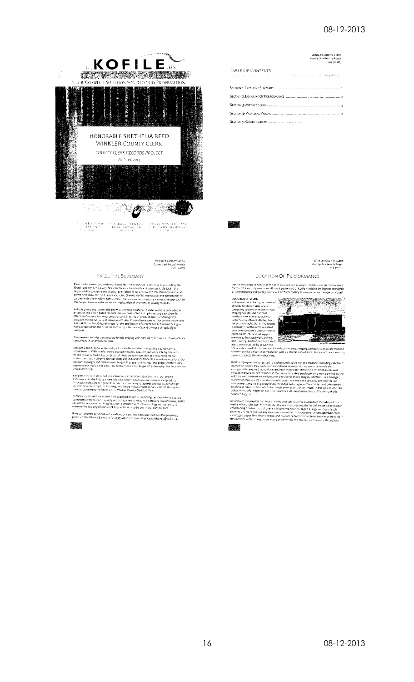

WINKLER COUNTY CLYRK<br>County Clerk Records Project<br>July 30, 2013

EXECUTIVE SUMMARY

 $\textbf{Re}(\alpha \cap \mathbf{x}) \text{ document } \alpha \cap \mathbf{x} \text{ entry our existence--thelet sum} \lor \mathbf{x} \text{ is essential to protein life}, \text{[blue]} \alpha \mid \mathbf{x} \text{ is not a nonnegative, } \alpha \in \mathbf{x} \text{ if } \alpha \in \mathbf{x} \text{ if } \alpha \in \mathbf{x} \text{ if } \alpha \in \mathbf{x} \text{ if } \alpha \in \mathbf{x} \text{ if } \alpha \in \mathbf{x} \text{ if } \alpha \in \mathbf{x} \text{ if } \alpha \in \mathbf{x} \text{ if } \alpha \in \mathbf{x} \text{ if } \alpha \in \mathbf{x} \text{ if$ 

Kofficial proud to preserve the pages of American history. To date, we have converted in excess of one bluen public records. We are committed to impire renting a solution that offers professions limitation of the professi

This proposal includes a price quote for the imaging und indexing of the Winkler County Clerk's<br>Land, Probote, and Vitals Records.

Latin, increases, and we see to the state solution to ineed the County Clerk's Sections 2 and 3, addices the ability of the Koffe solution to ineed the County Clerk's requirements. With headquarters' occided in Da'ss, Fex,

Key personnel are identified and introduced in Section 5: Qualifications. Our team's<br>experiences in this industry have allowed Kollie to improve our services and produce<br>Provative software airs processes. As a soctionar ma

persons is a security of the standard care degrade sepertification managing high volume capture contends also extend to recognized expertisation managing high volume capture.<br>Operations with excellent quality and timely re

lf we can provide acchitional information, or if you have any questions on this proposal,<br>please contact Roncy Barres at (2×4) 35+4800 or via email at Randy.Barbes@koffe...s

激动

# WINKLER COUNTY CLERK<br>County Clerk Records Project<br>Luly 30, 2013

| <b>TABLE OF CONTENTS</b><br>28. 在2000年中, 2000年1月, 2000年, 2000年, 2000年, 2000年, 2000年, 2000年, 2000年, 2000年, 2000年, 2000年, 2000年, 2000年, 2000年 |
|---------------------------------------------------------------------------------------------------------------------------------------------|
|                                                                                                                                             |
|                                                                                                                                             |
|                                                                                                                                             |
|                                                                                                                                             |
|                                                                                                                                             |



## MINKLER COUNTY CLERK<br>County Clerk Records Project<br>July 30, 2013

#### LOCATION OF PERFORMANCE

Due to the sensitive nature of the data involved in this project, Kofile understands the need<br>for multiple security measures. All work performed at Kofile is held to the highest standards<br>of workmanship and quality. Kofile



system processes are subjected to background clieds for all personnel, including extensive<br>interviews before they work with confidential records. Our operator terminals are<br>configured to ensure that no clust can have the f

In terms of the physical tracking of mielia and safety. As the guarantees the safety of the<br>media with under aurinety or substitute the base of media is based upon<br>establishing positive control over each item. We have mana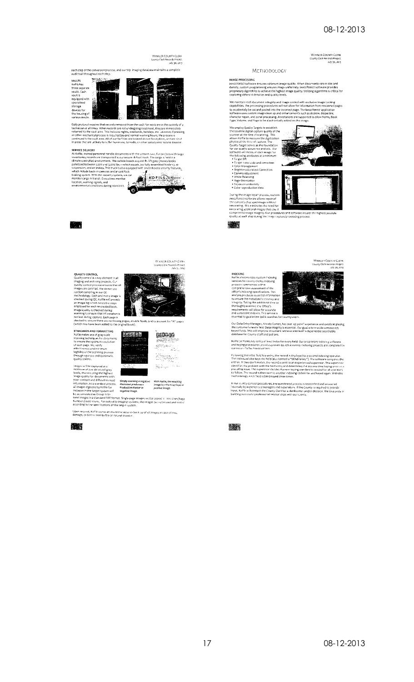# WINKLER COUNTY CLERK<br>County Clerk Rerords Project<br>July 30, 2013

#### METHODOLOGY

**IMAGE PROCESSING**<br>*kMAGE PROCESSING*<br>density, custom: programming ensuress image quality. When documents vary in size and<br>density, custom: programming ensuress image quality. Utilizing algorithms is critical reprovides<br>pr

We maintain 100% document integrity and image control with exclusive Image Locking<br>capabilities. The processing procedures will not allow for information from rescanned pages<br>to accidentally be cut and pasted into the inco

I ype, Volume, and Page to be electronically<br>We employ (2005): Traget to be electronically the absolute digital capture quality of the standard<br>strained at the line of the state and page of the state of the state<br>and the



### INDEXING

**INDEXING**<br> **NOTE:** also provides custom indexing<br> **rerivies for causty clerks, indexing<br>
<b>rerivies for causty clerks, indexing**<br> **comprehensive assessment** of the<br>
comprehensive assessment of the<br>
analysis produces essent



Our Data Entry Manager, Wanda Gomez, has over 43 years' experience and excels at placing<br>the customer's needs first: Data integrity is essential. Our goal is to provide consistently<br>keyed fields. This will impreve decument

Koffie berforms key entry at least twice for every field. Our proprietary indexing software<br>and keying procedures provides proven 99.25% accuracy. Indexing projects are completed in<br>our securi: Dailas headcuarters.

Following the initial field key entry, the record is displayed to a second indexing roperator. This individual also keys the field (also termed a "blind re-key"). The software compares the entries. If they don't match, th

In our ouality control procedures, any questioned process is researched and answered<br>Entirrally by experienced managers and supervisors. If the County-s required to provide<br>Input, Koffe will contact the County Clerk for a

QUALITY CONTROL.<br>
Quality control is a key element in all<br>
magning and activity of Yorkist, C.J.<br>
magning and activity we concruse the aid and<br>
magning are control in control of the set of the control of the<br>
influence of

**STANDARDS AND FORMATTING**<br>
Xoftle makes use of gray-scale<br>
stanning technique-of or decuments<br>
to ensure the optimum incessive<br>
the estinge, we verify<br>
engently we comply<br>
legibility of the scanning process<br>
legibility of



WINKLER COUNTY CLERK<br>County Clerk Records Project<br>
vuly 30, 2013

 $\bullet$ 

WINKLER COUNTY CLERK<br>County Clerk Becords Primert<br>July 31, 2013

each step of the conversion process, and our SQL imaging database maintains a complete<br>audit trail throughout each step.

ia.<br>Ma

Daily protocol requires that necords nemoved from the vault for work are in the daudtop of a technician at all times. When records are not undergoing treatment, they are innerentitely returned to the vault area. This inclu

SERVICE DELIVERY<br>
SERVICE DELIVERY<br>
SERVICE DELIVERY<br>
AN ISOTE ET CONTERNATION CONTERNATION CONTERNATION CONTERNATION<br>
SERVICE IS INTERFERIT CONTERNATION CONTERNATION CONTERNATION<br>
SUPERVICE SUPERVICE CONTERNATION CONTERNA

hroughout experience of the state of the state of the state of the state of the state of the state of the state of the state of the state of the state of the state of the state of the state of the state of the state of the

wall transfer and the control of the basic of the control of the control of the control of the control of the strategy of the control of the control of the control of the control of the control of the control of the contro

K.

quality control.<br>
Images will be captured at a<br>
immediate and three lists of the state of the state of the state of the state of<br>
levels, thus smaller for occurrents with<br>
The captured at fictive to receive the state of th

.<br>Upon request, Kofile stores an electronic socurity back up of all images in case of loss,<br>damage, or destruction by fire or natural disaster.

## X.

WINKLER COUNTY CLEAK<br>County Cleak Records Project<br>July 30, 2013

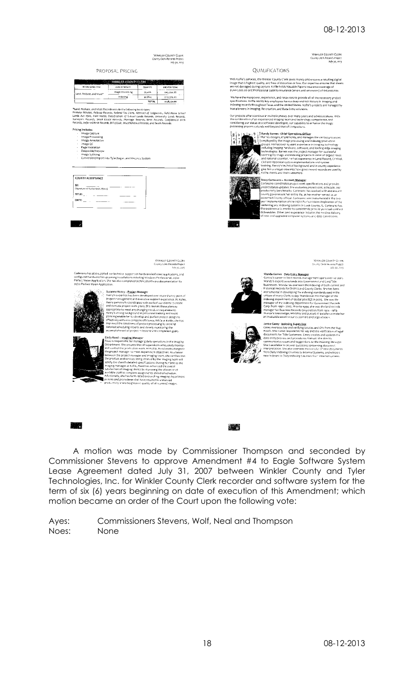WINKLER COUNTY CLERK<br>County Clerk Records Project<br>July 30, 2013

## WINKLER COUNTY CLERK<br>County Clerk Records Project<br>July 30, 2013

PROPOSAL PRICING

|                            | <b>WINKLER COUNTY CLERK</b> |                 |                 |
|----------------------------|-----------------------------|-----------------|-----------------|
| <b>RECORD SERIES TITLE</b> | LEVEL OF SERVICE            | <b>QUANTITY</b> | LINE ITEM TOTAL |
| Land, Probate, and Vitals* | mage Processing             | 95,406          | \$45,794.88     |
|                            | Indexing                    | 40,854          | \$112,376.09    |
|                            |                             | <b>TOTAL</b>    | \$158,170.85    |

ertion *idx Liens*<br>cation of Schos<br>tards, Marriage<br>tsale

|    | icing Includes:                  |
|----|----------------------------------|
|    | Image Capture                    |
| i, | Image Processing                 |
| š  | Image Annotation                 |
| ł. | image QC                         |
| ä  | Page Valication                  |
| i, | Oespeckle/Deskew                 |
| í  | Image Solitting                  |
| ×  | Conversion/Import into Tyler/Eag |
|    |                                  |

.<br>Ee Land Records System

also supplied ive technical supportion hardware/software application<br>rdware for upcoming installations including Windows Professional, 20/<br>Application. She has also completed technical/software documentatio<br>Application.

ily Reed – Imaging Manager<br>ed is responsible for managing daily<br>partment. She ensures that all supe

ny changing no

olencies<br>project pro<br>https://<br>https://

..........supervisors<br>|work: At Kofile, R<br>et denartien and imaging team, she<br>gioreated by the imagin

-as<sub>ek,</sub><br>L**lated ove.**<br>iat have resulted<br>med quality of ail

|               | (Signature of Authorized Official) |     |
|---------------|------------------------------------|-----|
| <b>TITLE:</b> |                                    | ___ |
| DATE:         |                                    |     |

**QUALIFICATIONS** 

With Koffle's services, the Winkler County C'erk saves money and ensures a reculting digital<br>image that is highest quality, and free of distortion or loss. Our expertise ensures that sheets<br>are not damaged during capture.

npower, experience, and resources to provide all of the necessary project<br>nffle and tis key employees have a deep and rich history in Imaging and<br>: throughout Texas and the United States. Kofile's projects are managed by<br>I

-<br>ontinue in multiple phases over many years and administrativns<br>in experienced Imaging team and technology competence, and<br>is as a software developer, our capability to enhance the image<br>:xtends well beyond that of compet



ads well beyond that to sump-section. Officer<br>
Randy Barnes Jeslign, implements, and manages the various processes<br>
Rands designs, implements, and manages the various processes<br>  $\epsilon$  employed by the image processing and in



Account <u>Manager</u><br>Account Manager **y Corteano – Account-massing control of the Cortean Control of the State State State State State State State State State State State State State State State State State State State State State State State State State Stat** : ۱۵۰<br>Sing system<br>Ship to car

81

WINKLER COUNTY CITER<br>County Cierk Records Project<br>July 30, 2013



Data Entry Manager o - <del>Jy</del>o - 2005, Phor to 1990, she was<br>for Business Records Corporation fro<br>mowledge, reliability and pursuit of<br>ble asset to our customers and orga



Janice Casey - Indexing Supervisor<br>Assey coverses key and verifying Josefs and GFs from the Map Room. She is also responsible for key and the verification of leg<br>Room. She is also responsible for key creates and updates t



A motion was made by Commissioner Thompson and seconded by Commissioner Stevens to approve Amendment #4 to Eagle Software System Lease Agreement dated July 31, 2007 between Winkler County and Tyler Technologies, Inc. for Winkler County Clerk recorder and software system for the term of six (6) years beginning on date of execution of this Amendment; which motion became an order of the Court upon the following vote:

18

Commissioners Stevens, Wolf, Neal and Thompson Ayes: Noes: None

WINKLER COUNTY CLERS<br>County Clerk Records Project<br>Lify 30, 2013

veroped = - =<br>cutive support experience. A<br>with each of our clients to ci<br>is. She revises these plans as

er K<br>essing by c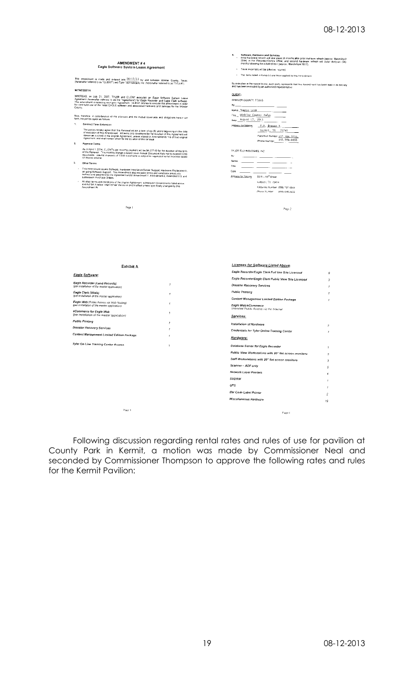| AMENDMENT#4<br>Eagle Software System Lease Agreement                                                                                                                                                                                                                                                                                             |                          | Software, Hardware and Services<br>4.<br>$\overline{a}$<br>Initial hardware refresh will take place 36 months after prior mid-term refresh (approx. Marchi/April<br>2014) in the Recordor/Clerk's Office, and second hardware refresh will occur shriy-six (36)<br>months following the mittal refresh (approx., March/April 2017).<br>$\epsilon$<br>Travel expenses will be billed as incurred.<br>. The tems listed in Exhibit A are those applied to this Amendment |                |  |
|--------------------------------------------------------------------------------------------------------------------------------------------------------------------------------------------------------------------------------------------------------------------------------------------------------------------------------------------------|--------------------------|------------------------------------------------------------------------------------------------------------------------------------------------------------------------------------------------------------------------------------------------------------------------------------------------------------------------------------------------------------------------------------------------------------------------------------------------------------------------|----------------|--|
| This amendment is made and entered into $\frac{08/12/13}{2}$ by and between Winkler County, Texas<br>(hereinafter referred to as "CLIENT") and Tyler Technologics, Inc. (hereinafter referred to as "TYLER").                                                                                                                                    |                          | By execution in the space bolow, each party represents that this Amendment has been read in its entrety                                                                                                                                                                                                                                                                                                                                                                |                |  |
| WITNESSETH:                                                                                                                                                                                                                                                                                                                                      |                          | and has been executed by an authorized representative                                                                                                                                                                                                                                                                                                                                                                                                                  |                |  |
| WHEREAS, on July 31, 2007, TYLER and CLENT extended an Eagle Schware System Leave<br>Agreement (theremater referred to as the "Agreement") for Eagle Recorder and Eagle Clerk cultures<br>The amendment areplacing such prior Agreem                                                                                                             |                          | CLIENT:<br>WINKLER COUNTY, TEXAS<br>By:<br>Name_Bonnie_Leck                                                                                                                                                                                                                                                                                                                                                                                                            |                |  |
| Now, therefore in consideration of the promises and the mutual coverants and obligations herein set<br>forth, the parties agree as follows                                                                                                                                                                                                       |                          | The _ Winkler County Judge<br>Date August 12, 2013                                                                                                                                                                                                                                                                                                                                                                                                                     |                |  |
| 1.<br><b>Contract Term Extension</b>                                                                                                                                                                                                                                                                                                             |                          | Address for Notices P.O. Drawer Y.                                                                                                                                                                                                                                                                                                                                                                                                                                     |                |  |
| The partes hereby agree that that Renewal will be a term of six (6) years beginning on the clate<br>of execution of this Americanent. All terms and concidence for Termination of this Agreement will<br>remain as outlined in the o                                                                                                             |                          | Xermit, TX 79745<br>Facsimile Mumber 432, 386, 3223<br>Phone Number 432, 556, 6658                                                                                                                                                                                                                                                                                                                                                                                     |                |  |
| $\overline{2}$<br>Payment Terms                                                                                                                                                                                                                                                                                                                  |                          |                                                                                                                                                                                                                                                                                                                                                                                                                                                                        |                |  |
| As of April 1, 2014, CUENT's per mombig payment will be \$4,077.00 for the duration of the term<br>of this Renewal - This monthly charge is based on an Annual Document Rate not to exceed 3,000<br>documents. I studies in excess of<br>Other Terms                                                                                             |                          | TY-ER TECHNOLOGIES, INC.<br>By:<br>-- -<br>-----<br>Name.<br>- -                                                                                                                                                                                                                                                                                                                                                                                                       |                |  |
|                                                                                                                                                                                                                                                                                                                                                  |                          | Tite.<br>.<br>- - - -                                                                                                                                                                                                                                                                                                                                                                                                                                                  |                |  |
| This Ameriament covers Software, Hardware Installation/Server Support. Hardware Replacement,<br>on going Software Support. This Americment also includes lemis and conditions previously<br>outherd and adopted into the Agreement u                                                                                                             |                          | Date $\qquad$<br>Address for Nosces 5519 - 53 <sup>rd</sup> Street                                                                                                                                                                                                                                                                                                                                                                                                     |                |  |
| subsequent Purchase Orders.<br>All other terms and conditions of the priginal Agreement, subsequent Amendments Ssted above                                                                                                                                                                                                                       |                          | Lubbook TX 79414                                                                                                                                                                                                                                                                                                                                                                                                                                                       |                |  |
| and Exhibit A below shall remain the some and in effect unless specifically changed by this<br>Amendment #4                                                                                                                                                                                                                                      |                          | Facsimile Number (506) 797 4849                                                                                                                                                                                                                                                                                                                                                                                                                                        |                |  |
|                                                                                                                                                                                                                                                                                                                                                  |                          | Phono Number (800) 646-2633                                                                                                                                                                                                                                                                                                                                                                                                                                            |                |  |
|                                                                                                                                                                                                                                                                                                                                                  |                          |                                                                                                                                                                                                                                                                                                                                                                                                                                                                        |                |  |
|                                                                                                                                                                                                                                                                                                                                                  |                          |                                                                                                                                                                                                                                                                                                                                                                                                                                                                        |                |  |
| <b>Exhibit A</b>                                                                                                                                                                                                                                                                                                                                 |                          | Licenses for Software Listed Above:                                                                                                                                                                                                                                                                                                                                                                                                                                    |                |  |
|                                                                                                                                                                                                                                                                                                                                                  |                          | Eagle Recorder/Eagle Clerk Full Use Site Licensed                                                                                                                                                                                                                                                                                                                                                                                                                      | 6              |  |
|                                                                                                                                                                                                                                                                                                                                                  |                          | Eagle Recorder/Eagle Clerk Public View Site Licensed                                                                                                                                                                                                                                                                                                                                                                                                                   | 3              |  |
|                                                                                                                                                                                                                                                                                                                                                  | $\mathcal I$             | <b>Disaster Recovery Services</b>                                                                                                                                                                                                                                                                                                                                                                                                                                      |                |  |
|                                                                                                                                                                                                                                                                                                                                                  | 1                        | <b>Public Printing</b>                                                                                                                                                                                                                                                                                                                                                                                                                                                 |                |  |
|                                                                                                                                                                                                                                                                                                                                                  |                          | Content Management Limited Edition Package                                                                                                                                                                                                                                                                                                                                                                                                                             | $\mathbf{f}$   |  |
|                                                                                                                                                                                                                                                                                                                                                  | 1<br>1                   | Eagle Web/eCommerce<br>Unkmited Public Access via the Internet                                                                                                                                                                                                                                                                                                                                                                                                         |                |  |
| Eagle Software:<br>Eagle Recorder (Land Records)<br>(per installation of the master application)<br>Eagle Clerk (Vitals)<br>(per installation of the master application)<br>Eagle Web (Public Access via Web Hosting)<br>(per installation of the master application)<br>eCommerce for Eagle Web<br>(per installation of the master application) |                          | Services:                                                                                                                                                                                                                                                                                                                                                                                                                                                              |                |  |
| <b>Public Printing</b>                                                                                                                                                                                                                                                                                                                           |                          | Installation of Hardware                                                                                                                                                                                                                                                                                                                                                                                                                                               | $\overline{c}$ |  |
| Disaster Recovery Services<br>Content Management Limited Edition Package                                                                                                                                                                                                                                                                         |                          | Credentials for Tyler Online Training Center                                                                                                                                                                                                                                                                                                                                                                                                                           | 1              |  |
|                                                                                                                                                                                                                                                                                                                                                  |                          | Hardware:                                                                                                                                                                                                                                                                                                                                                                                                                                                              |                |  |
|                                                                                                                                                                                                                                                                                                                                                  | $\overline{\phantom{a}}$ | Database Server for Eagle Recorder                                                                                                                                                                                                                                                                                                                                                                                                                                     | ź              |  |
|                                                                                                                                                                                                                                                                                                                                                  |                          | Public View Workstations with 20" flat screen monitors                                                                                                                                                                                                                                                                                                                                                                                                                 | $\mathcal{R}$  |  |
|                                                                                                                                                                                                                                                                                                                                                  |                          | Staff Workstations with 20" flat screen monitors                                                                                                                                                                                                                                                                                                                                                                                                                       | з              |  |
|                                                                                                                                                                                                                                                                                                                                                  |                          | Scanner - ADF only                                                                                                                                                                                                                                                                                                                                                                                                                                                     | 5              |  |
| Tyler On Line Training Center Access                                                                                                                                                                                                                                                                                                             |                          | Network Laser Printers                                                                                                                                                                                                                                                                                                                                                                                                                                                 |                |  |
|                                                                                                                                                                                                                                                                                                                                                  |                          | OVDRW                                                                                                                                                                                                                                                                                                                                                                                                                                                                  |                |  |
|                                                                                                                                                                                                                                                                                                                                                  |                          | UPS                                                                                                                                                                                                                                                                                                                                                                                                                                                                    |                |  |
|                                                                                                                                                                                                                                                                                                                                                  |                          | <b>Bar Code Label Printer</b>                                                                                                                                                                                                                                                                                                                                                                                                                                          | 2              |  |

Following discussion regarding rental rates and rules of use for pavilion at County Park in Kermit, a motion was made by Commissioner Neal and seconded by Commissioner Thompson to approve the following rates and rules for the Kermit Pavilion:

 $\ensuremath{\mathrm{Page}}\,3$ 

 $_{\rm Page\ 4}$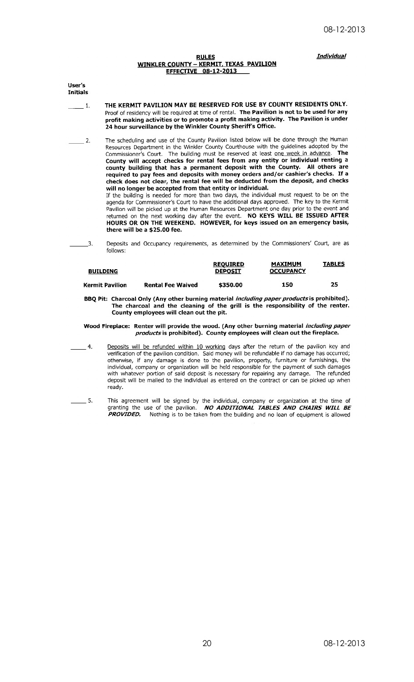**Individual** 

#### **RULES WINKLER COUNTY - KERMIT, TEXAS PAVILION EFFECTIVE 08-12-2013**

User's **Initials** 

- THE KERMIT PAVILION MAY BE RESERVED FOR USE BY COUNTY RESIDENTS ONLY.  $\overline{1}$ . Proof of residency will be required at time of rental. The Pavilion is not to be used for any profit making activities or to promote a profit making activity. The Pavilion is under<br>24 hour surveillance by the Winkler County Sheriff's Office.
- The scheduling and use of the County Pavilion listed below will be done through the Human  $=$  2. Resources Department in the Winkler County Courthouse with the guidelines adopted by the Commissioner's Court. The building must be reserved at least one week in advance. **The** County will accept checks for rental fees from any entity or individual renting a county building that has a permanent deposit with the County. All others are required to pay fees and deposits with money orders and/or cashier's checks. If a<br>check does not clear, the rental fee will be deducted from the deposit, and checks will no longer be accepted from that entity or individual.

If the building is needed for more than two days, the individual must request to be on the agenda for Commissioner's Court to have the additional days approved. The key to the Kermit Pavilion will be picked up at the Human Resources Department one day prior to the event and returned on the next working day after the event. NO KEYS WILL BE ISSUED AFTER<br>HOURS OR ON THE WEEKEND. HOWEVER, for keys issued on an emergency basis, there will be a \$25.00 fee.

Deposits and Occupancy requirements, as determined by the Commissioners' Court, are as

 $\overline{3}$ .

| follows:        |                 |                  |               |
|-----------------|-----------------|------------------|---------------|
|                 | <b>REOUIRED</b> | <b>MAXIMUM</b>   | <b>TABLES</b> |
| <b>BUILDING</b> | <b>DEPOSIT</b>  | <b>OCCUPANCY</b> |               |

#### **Kermit Pavilion Rental Fee Waived** \$350.00 150 25

BBQ Pit: Charcoal Only (Any other burning material including paper products is prohibited). The charcoal and the cleaning of the grill is the responsibility of the renter.<br>County employees will clean out the pit.

#### Wood Fireplace: Renter will provide the wood. (Any other burning material including paper products is prohibited). County employees will clean out the fireplace.

- Deposits will be refunded within 10 working days after the return of the pavilion key and verification of the pavilion condition. Said money will be refundable if no damage has occurred;  $\overline{4}$ . otherwise, if any damage is done to the pavilion, property, furniture or furnishings, the individual, company or organization will be held responsible for the payment of such damages with whatever portion of said deposit is necessary for repairing any damage. The refunded deposit will be mailed to the individual as entered on the contract or can be picked up when ready.
- $\overline{5}$ .
	- This agreement will be signed by the individual, company or organization at the time of granting the use of the pavilion. NO ADDITIONAL TABLES AND CHAIRS WILL BE **PROVIDED.** Nothing is to be taken from the building and no loan of equipment is allowed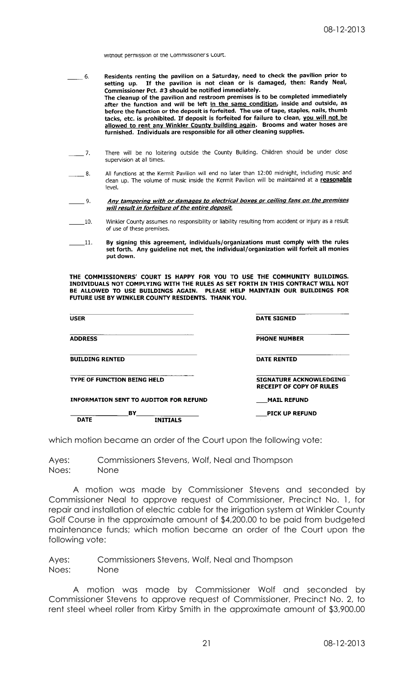without permission of the Commissioner's Court.

Residents renting the pavilion on a Saturday, need to check the pavilion prior to  $-6.$ setting up. If the pavilion is not clean or is damaged, then: Randy Neal, Commissioner Pct. #3 should be notified immediately. Commissioner Pct.  $#3$  should be notified immediately.<br>The cleanup of the pavilion and restroom premises is to be completed immediately after the function and will be left in the same condition, inside and outside, as before the function or the deposit is forfeited. The use of tape, staples, nails, thumb tacks, etc. is prohibited. If deposit is forfeited for failure to clean, you will not be allowed to rent any Winkler County building again. Brooms and water hoses are furnished. Individuals are responsible for all other cleaning supplies.

- $\overline{\phantom{a}}$  7. There will be no loitering outside the County Building. Children should be under close supervision at all times.
- All functions at the Kermit Pavilion will end no later than 12:00 midnight, including music and  $8.$ clean up. The volume of music inside the Kermit Pavilion will be maintained at a reasonable level.
	- $9<sub>1</sub>$ Any tampering with or damages to electrical boxes or ceiling fans on the premises will result in forfeiture of the entire deposit.
- Winkler County assumes no responsibility or liability resulting from accident or injury as a result  $10.$ of use of these premises.
- By signing this agreement, individuals/organizations must comply with the rules  $\_11$ . set forth. Any guideline not met, the individual/organization will forfeit all monies put down.

THE COMMISSIONERS' COURT IS HAPPY FOR YOU TO USE THE COMMUNITY BUILDINGS.<br>INDIVIDUALS NOT COMPLYING WITH THE RULES AS SET FORTH IN THIS CONTRACT WILL NOT BE ALLOWED TO USE BUILDINGS AGAIN. PLEASE HELP MAINTAIN OUR BUILDINGS FOR FUTURE USE BY WINKLER COUNTY RESIDENTS. THANK YOU.

| <b>USER</b>                        |                                               | <b>DATE SIGNED</b>                                                |
|------------------------------------|-----------------------------------------------|-------------------------------------------------------------------|
| <b>ADDRESS</b>                     |                                               | <b>PHONE NUMBER</b>                                               |
| <b>BUILDING RENTED</b>             |                                               | <b>DATE RENTED</b>                                                |
| <b>TYPE OF FUNCTION BEING HELD</b> |                                               | <b>SIGNATURE ACKNOWLEDGING</b><br><b>RECEIPT OF COPY OF RULES</b> |
|                                    | <b>INFORMATION SENT TO AUDITOR FOR REFUND</b> | <b>MAIL REFUND</b>                                                |
| <b>DATE</b>                        | BY<br><b>INITIALS</b>                         | <b>PICK UP REFUND</b>                                             |

which motion became an order of the Court upon the following vote:

Ayes: Commissioners Stevens, Wolf, Neal and Thompson Noes: None

A motion was made by Commissioner Stevens and seconded by Commissioner Neal to approve request of Commissioner, Precinct No. 1, for repair and installation of electric cable for the irrigation system at Winkler County Golf Course in the approximate amount of \$4,200.00 to be paid from budgeted maintenance funds; which motion became an order of the Court upon the following vote:

Ayes: Commissioners Stevens, Wolf, Neal and Thompson Noes: None

A motion was made by Commissioner Wolf and seconded by Commissioner Stevens to approve request of Commissioner, Precinct No. 2, to rent steel wheel roller from Kirby Smith in the approximate amount of \$3,900.00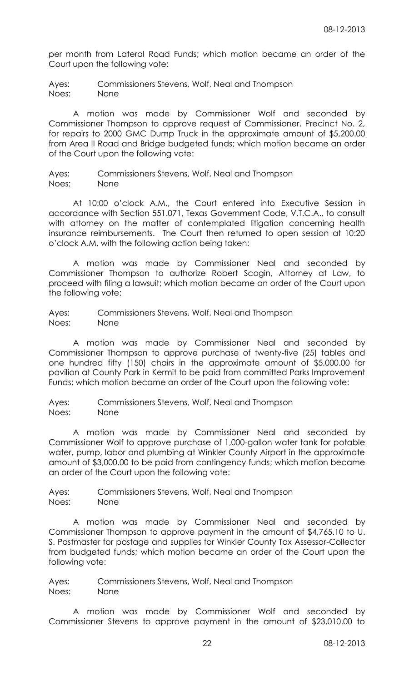per month from Lateral Road Funds; which motion became an order of the Court upon the following vote:

Ayes: Commissioners Stevens, Wolf, Neal and Thompson Noes: None

A motion was made by Commissioner Wolf and seconded by Commissioner Thompson to approve request of Commissioner, Precinct No. 2, for repairs to 2000 GMC Dump Truck in the approximate amount of \$5,200.00 from Area II Road and Bridge budgeted funds; which motion became an order of the Court upon the following vote:

Ayes: Commissioners Stevens, Wolf, Neal and Thompson Noes: None

At 10:00 o'clock A.M., the Court entered into Executive Session in accordance with Section 551.071, Texas Government Code, V.T.C.A., to consult with attorney on the matter of contemplated litigation concerning health insurance reimbursements. The Court then returned to open session at 10:20 o'clock A.M. with the following action being taken:

A motion was made by Commissioner Neal and seconded by Commissioner Thompson to authorize Robert Scogin, Attorney at Law, to proceed with filing a lawsuit; which motion became an order of the Court upon the following vote:

Ayes: Commissioners Stevens, Wolf, Neal and Thompson Noes: None

A motion was made by Commissioner Neal and seconded by Commissioner Thompson to approve purchase of twenty-five (25) tables and one hundred fifty (150) chairs in the approximate amount of \$5,000.00 for pavilion at County Park in Kermit to be paid from committed Parks Improvement Funds; which motion became an order of the Court upon the following vote:

Ayes: Commissioners Stevens, Wolf, Neal and Thompson Noes: None

A motion was made by Commissioner Neal and seconded by Commissioner Wolf to approve purchase of 1,000-gallon water tank for potable water, pump, labor and plumbing at Winkler County Airport in the approximate amount of \$3,000.00 to be paid from contingency funds; which motion became an order of the Court upon the following vote:

Ayes: Commissioners Stevens, Wolf, Neal and Thompson Noes: None

A motion was made by Commissioner Neal and seconded by Commissioner Thompson to approve payment in the amount of \$4,765.10 to U. S. Postmaster for postage and supplies for Winkler County Tax Assessor-Collector from budgeted funds; which motion became an order of the Court upon the following vote:

Ayes: Commissioners Stevens, Wolf, Neal and Thompson Noes: None

A motion was made by Commissioner Wolf and seconded by Commissioner Stevens to approve payment in the amount of \$23,010.00 to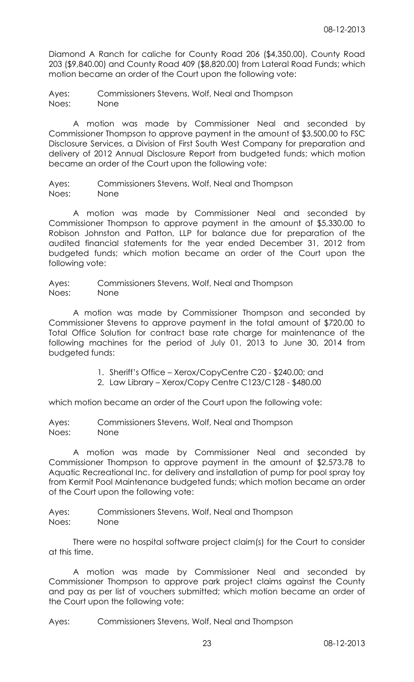Diamond A Ranch for caliche for County Road 206 (\$4,350.00), County Road 203 (\$9,840.00) and County Road 409 (\$8,820.00) from Lateral Road Funds; which motion became an order of the Court upon the following vote:

Ayes: Commissioners Stevens, Wolf, Neal and Thompson Noes: None

A motion was made by Commissioner Neal and seconded by Commissioner Thompson to approve payment in the amount of \$3,500.00 to FSC Disclosure Services, a Division of First South West Company for preparation and delivery of 2012 Annual Disclosure Report from budgeted funds; which motion became an order of the Court upon the following vote:

Ayes: Commissioners Stevens, Wolf, Neal and Thompson Noes: None

A motion was made by Commissioner Neal and seconded by Commissioner Thompson to approve payment in the amount of \$5,330.00 to Robison Johnston and Patton, LLP for balance due for preparation of the audited financial statements for the year ended December 31, 2012 from budgeted funds; which motion became an order of the Court upon the following vote:

Ayes: Commissioners Stevens, Wolf, Neal and Thompson Noes: None

A motion was made by Commissioner Thompson and seconded by Commissioner Stevens to approve payment in the total amount of \$720.00 to Total Office Solution for contract base rate charge for maintenance of the following machines for the period of July 01, 2013 to June 30, 2014 from budgeted funds:

1. Sheriff's Office – Xerox/CopyCentre C20 - \$240.00; and

2. Law Library – Xerox/Copy Centre C123/C128 - \$480.00

which motion became an order of the Court upon the following vote:

Ayes: Commissioners Stevens, Wolf, Neal and Thompson Noes: None

A motion was made by Commissioner Neal and seconded by Commissioner Thompson to approve payment in the amount of \$2,573.78 to Aquatic Recreational Inc. for delivery and installation of pump for pool spray toy from Kermit Pool Maintenance budgeted funds; which motion became an order of the Court upon the following vote:

Ayes: Commissioners Stevens, Wolf, Neal and Thompson Noes: None

There were no hospital software project claim(s) for the Court to consider at this time.

A motion was made by Commissioner Neal and seconded by Commissioner Thompson to approve park project claims against the County and pay as per list of vouchers submitted; which motion became an order of the Court upon the following vote: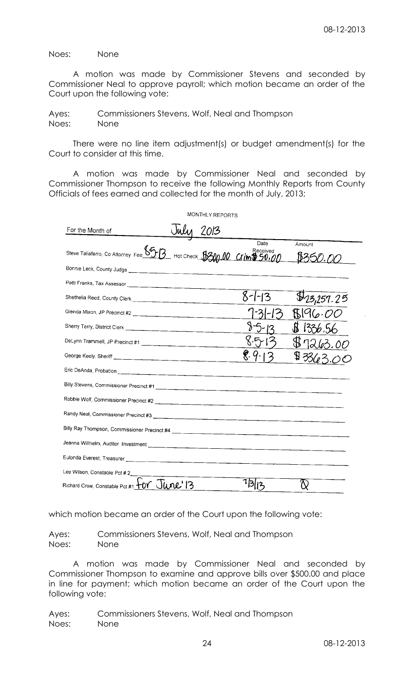Noes: None

A motion was made by Commissioner Stevens and seconded by Commissioner Neal to approve payroll; which motion became an order of the Court upon the following vote:

Ayes: Commissioners Stevens, Wolf, Neal and Thompson Noes: None

There were no line item adjustment(s) or budget amendment(s) for the Court to consider at this time.

A motion was made by Commissioner Neal and seconded by Commissioner Thompson to receive the following Monthly Reports from County Officials of fees earned and collected for the month of July, 2013;

|                                                                                         |      | MONTHLY REPORTS |              |                           |
|-----------------------------------------------------------------------------------------|------|-----------------|--------------|---------------------------|
| For the Month of                                                                        | Juli | 2013            |              |                           |
| Steve Taliaferro, Co Attorney Fee <u>6513</u> Hot Check 15300.00 Crim 50.00             |      |                 | Date         | Amount<br>\$350.00        |
|                                                                                         |      |                 |              |                           |
|                                                                                         |      |                 |              |                           |
|                                                                                         |      |                 | $8 - 1 - 13$ | $\mathcal{F}_{23,257.25}$ |
|                                                                                         |      |                 |              |                           |
|                                                                                         |      |                 |              | 1336.56                   |
|                                                                                         |      |                 |              |                           |
|                                                                                         |      |                 |              | $\mathfrak{P}\!$ 3        |
|                                                                                         |      |                 |              |                           |
|                                                                                         |      |                 |              |                           |
| Robbie Wolf, Commissioner Precinct #2                                                   |      |                 |              |                           |
|                                                                                         |      |                 |              |                           |
|                                                                                         |      |                 |              |                           |
|                                                                                         |      |                 |              |                           |
|                                                                                         |      |                 |              |                           |
| Lee Wilson, Constable Pct # 2                                                           |      |                 |              |                           |
| Richard Crow, Constable Pct #1 $+0$ $\sqrt{}$ $\sqrt{}$ $\sqrt{}$ $\sqrt{2}$ $\sqrt{3}$ |      |                 |              |                           |

which motion became an order of the Court upon the following vote:

Ayes: Commissioners Stevens, Wolf, Neal and Thompson Noes: None

A motion was made by Commissioner Neal and seconded by Commissioner Thompson to examine and approve bills over \$500.00 and place in line for payment; which motion became an order of the Court upon the following vote: